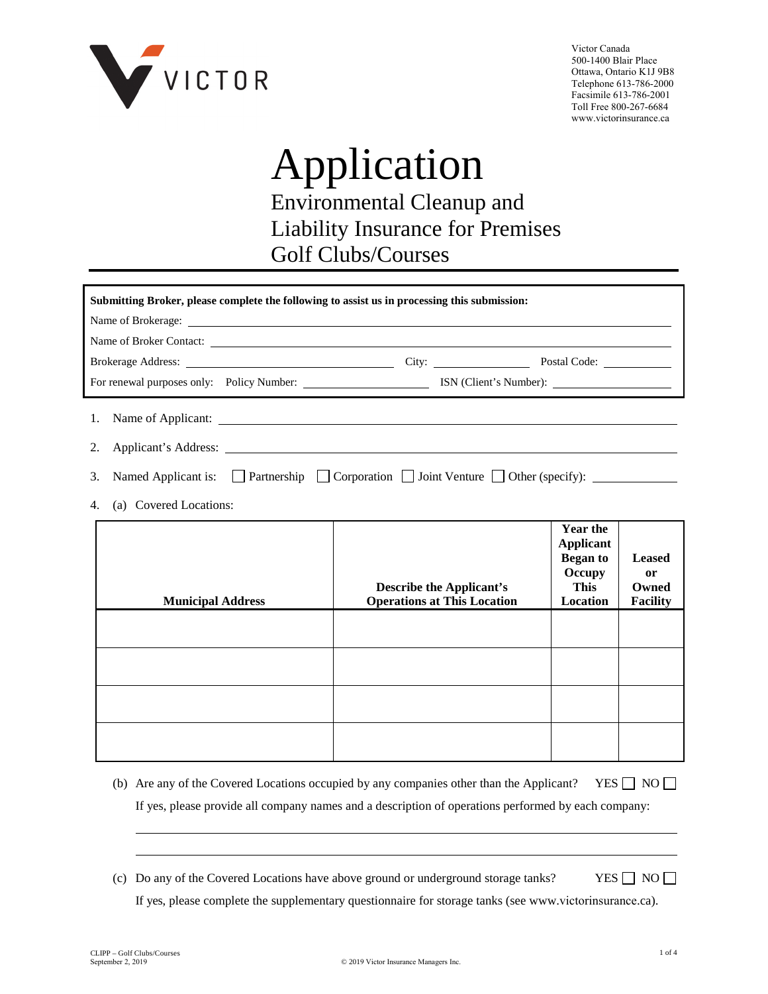

Victor Canada 500-1400 Blair Place Ottawa, Ontario K1J 9B8 Telephone 613-786-2000 Facsimile 613-786-2001 Toll Free 800-267-6684 www.victorinsurance.ca

# Application Environmental Cleanup and Liability Insurance for Premises Golf Clubs/Courses

| Submitting Broker, please complete the following to assist us in processing this submission: |                                                                                                                  |  |  |  |  |
|----------------------------------------------------------------------------------------------|------------------------------------------------------------------------------------------------------------------|--|--|--|--|
|                                                                                              |                                                                                                                  |  |  |  |  |
| Name of Broker Contact:                                                                      |                                                                                                                  |  |  |  |  |
|                                                                                              |                                                                                                                  |  |  |  |  |
|                                                                                              |                                                                                                                  |  |  |  |  |
|                                                                                              |                                                                                                                  |  |  |  |  |
|                                                                                              |                                                                                                                  |  |  |  |  |
|                                                                                              | 3. Named Applicant is: $\Box$ Partnership $\Box$ Corporation $\Box$ Joint Venture $\Box$ Other (specify): $\Box$ |  |  |  |  |
| 4. (a) Covered Locations:                                                                    |                                                                                                                  |  |  |  |  |

| <b>Municipal Address</b> | <b>Describe the Applicant's</b><br><b>Operations at This Location</b> | <b>Year the</b><br><b>Applicant</b><br><b>Began to</b><br>Occupy<br>This<br>Location | <b>Leased</b><br><b>or</b><br>Owned<br><b>Facility</b> |
|--------------------------|-----------------------------------------------------------------------|--------------------------------------------------------------------------------------|--------------------------------------------------------|
|                          |                                                                       |                                                                                      |                                                        |
|                          |                                                                       |                                                                                      |                                                        |
|                          |                                                                       |                                                                                      |                                                        |
|                          |                                                                       |                                                                                      |                                                        |

- (b) Are any of the Covered Locations occupied by any companies other than the Applicant? YES  $\Box$  NO  $\Box$ If yes, please provide all company names and a description of operations performed by each company:
- (c) Do any of the Covered Locations have above ground or underground storage tanks? YES  $\Box$  NO  $\Box$ If yes, please complete the supplementary questionnaire for storage tanks (see www.victorinsurance.ca).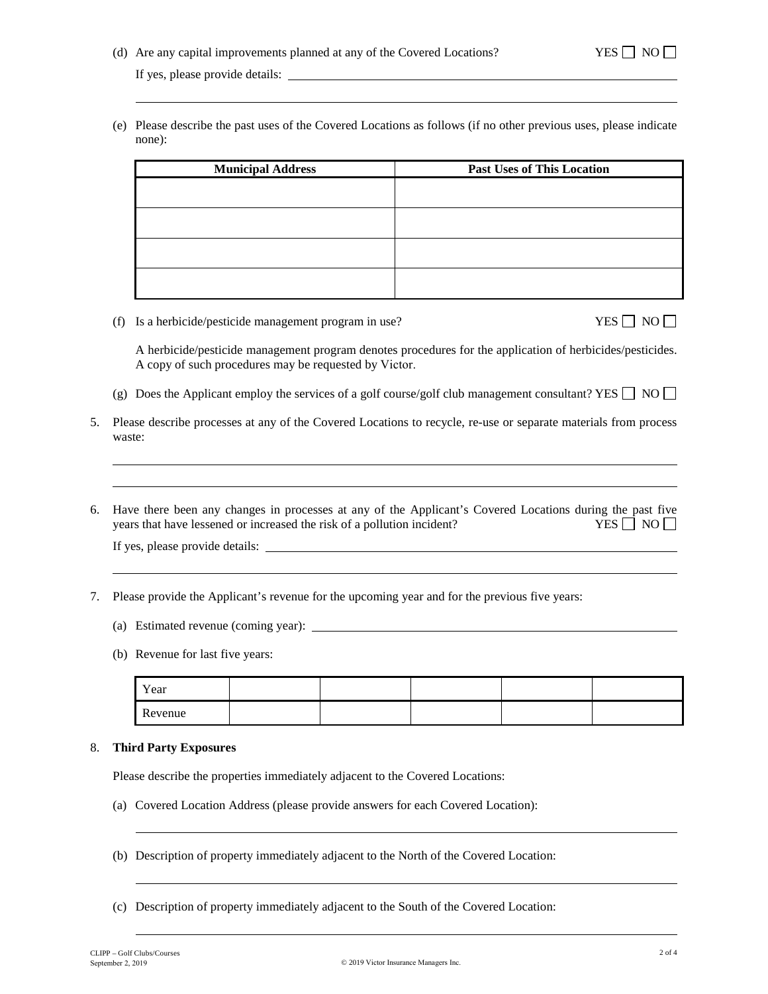(e) Please describe the past uses of the Covered Locations as follows (if no other previous uses, please indicate none):

| <b>Municipal Address</b> | <b>Past Uses of This Location</b> |  |  |
|--------------------------|-----------------------------------|--|--|
|                          |                                   |  |  |
|                          |                                   |  |  |
|                          |                                   |  |  |
|                          |                                   |  |  |
|                          |                                   |  |  |
|                          |                                   |  |  |
|                          |                                   |  |  |
|                          |                                   |  |  |

(f) Is a herbicide/pesticide management program in use? YES  $\Box$  NO  $\Box$ 

A herbicide/pesticide management program denotes procedures for the application of herbicides/pesticides. A copy of such procedures may be requested by Victor.

- (g) Does the Applicant employ the services of a golf course/golf club management consultant? YES  $\Box$  NO  $\Box$
- 5. Please describe processes at any of the Covered Locations to recycle, re-use or separate materials from process waste:
- 6. Have there been any changes in processes at any of the Applicant's Covered Locations during the past five years that have lessened or increased the risk of a pollution incident? YES  $\Box$  NO  $\Box$

If yes, please provide details:

- 7. Please provide the Applicant's revenue for the upcoming year and for the previous five years:
	- (a) Estimated revenue (coming year):
	- (b) Revenue for last five years:

| Year    |  |  |  |
|---------|--|--|--|
| Revenue |  |  |  |

### 8. **Third Party Exposures**

Please describe the properties immediately adjacent to the Covered Locations:

- (a) Covered Location Address (please provide answers for each Covered Location):
- (b) Description of property immediately adjacent to the North of the Covered Location:
- (c) Description of property immediately adjacent to the South of the Covered Location: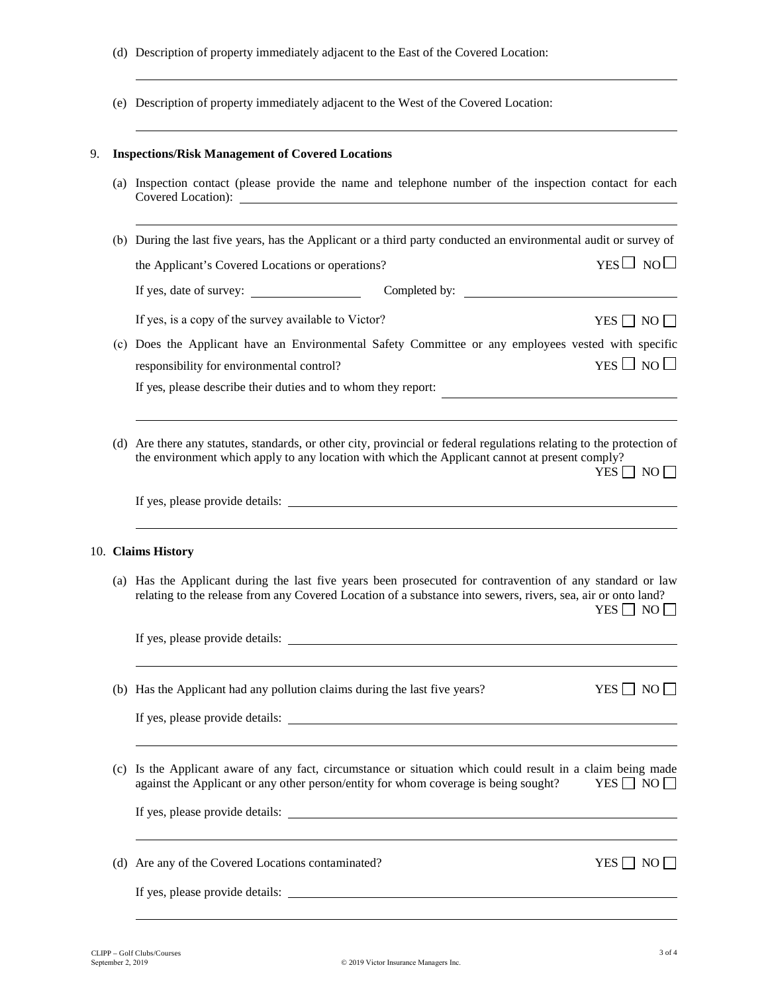- (d) Description of property immediately adjacent to the East of the Covered Location:
- (e) Description of property immediately adjacent to the West of the Covered Location:

## 9. **Inspections/Risk Management of Covered Locations**

(a) Inspection contact (please provide the name and telephone number of the inspection contact for each Covered Location):

| (b) During the last five years, has the Applicant or a third party conducted an environmental audit or survey of                                 |                      |  |  |
|--------------------------------------------------------------------------------------------------------------------------------------------------|----------------------|--|--|
| the Applicant's Covered Locations or operations?                                                                                                 | $YES \Box NO \Box$   |  |  |
| Completed by:                                                                                                                                    |                      |  |  |
| If yes, is a copy of the survey available to Victor?                                                                                             | YES $\Box$ NO $\Box$ |  |  |
| (c) Does the Applicant have an Environmental Safety Committee or any employees vested with specific<br>responsibility for environmental control? | $YES \Box NO \Box$   |  |  |
| If yes, please describe their duties and to whom they report:                                                                                    |                      |  |  |
|                                                                                                                                                  |                      |  |  |
|                                                                                                                                                  |                      |  |  |

(d) Are there any statutes, standards, or other city, provincial or federal regulations relating to the protection of the environment which apply to any location with which the Applicant cannot at present comply?  $YES \Box NO \Box$ 

If yes, please provide details:

#### 10. **Claims History**

(a) Has the Applicant during the last five years been prosecuted for contravention of any standard or law relating to the release from any Covered Location of a substance into sewers, rivers, sea, air or onto land?  $YES \Box NO \Box$ 

If yes, please provide details:

(b) Has the Applicant had any pollution claims during the last five years? YES  $\Box$  NO  $\Box$ 

If yes, please provide details:

(c) Is the Applicant aware of any fact, circumstance or situation which could result in a claim being made against the Applicant or any other person/entity for whom coverage is being sought? YES  $\Box$  NO  $\Box$ 

If yes, please provide details:

(d) Are any of the Covered Locations contaminated?  $YES \Box NO \Box$ 

If yes, please provide details: